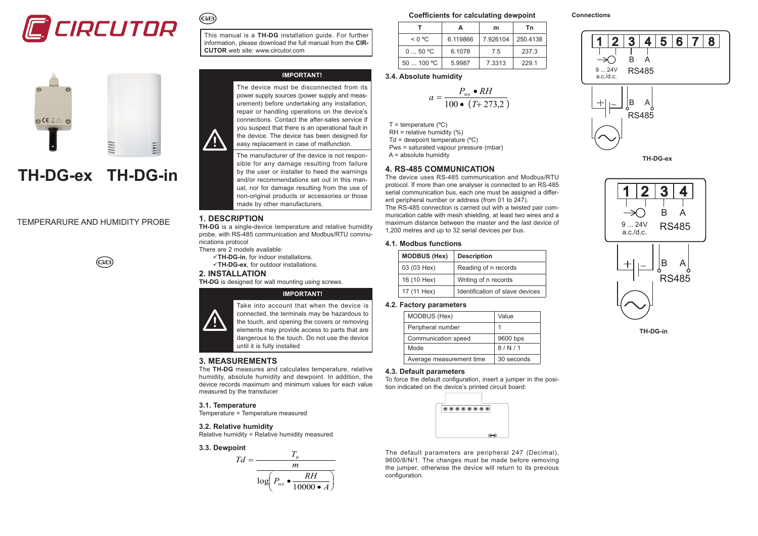



# **TH-DG-in TH-DG-ex**

# TEMPERARURE AND HUMIDITY PROBE



## **IMPORTANT!**

This manual is a **TH-DG** installation guide. For further information, please download the full manual from the **CIR-**

**CUTOR** web site: www.circutor.com

 $\binom{6}{5}$ 

The device must be disconnected from its power supply sources (power supply and measurement) before undertaking any installation, repair or handling operations on the device's connections. Contact the after-sales service if you suspect that there is an operational fault in the device. The device has been designed for easy replacement in case of malfunction.

The manufacturer of the device is not responsible for any damage resulting from failure by the user or installer to heed the warnings and/or recommendations set out in this manual, nor for damage resulting from the use of non-original products or accessories or those made by other manufacturers.

# **1. DESCRIPTION**

Ţ

**TH-DG** is a single-device temperature and relative humidity probe, with RS-485 communication and Modbus/RTU communications protocol

There are 2 models available:

- **TH-DG-in**, for indoor installations.
- **TH-DG-ex**, for outdoor installations.

# **2. INSTALLATION**

**TH-DG** is designed for wall mounting using screws.

## **IMPORTANT!**

Take into account that when the device is connected, the terminals may be hazardous to the touch, and opening the covers or removing elements may provide access to parts that are dangerous to the touch. Do not use the device until it is fully installed

# **3. MEASUREMENTS**

The **TH-DG** measures and calculates temperature, relative humidity, absolute humidity and dewpoint. In addition, the device records maximum and minimum values for each value measured by the transducer

#### **3.1. Temperature**

W

Temperature = Temperature measured

# **3.2. Relative humidity**

Relative humidity = Relative humidity measured

### **3.3. Dewpoint**



#### **Coefficients for calculating dewpoint**

|          | А        | m        | Тn       |  |
|----------|----------|----------|----------|--|
| < 0 °C   | 6.119866 | 7.926104 | 250.4138 |  |
| 050 °C   | 6.1078   | 7.5      | 237.3    |  |
| 50100 °C | 5.9987   | 7.3313   | 229.1    |  |

# **3.4. Absolute humidity**

$$
a = \frac{P_{ws} \bullet RH}{100 \bullet (T+273,2)}
$$

 $T =$  temperature ( $^{\circ}$ C)  $RH =$  relative humidity  $(\%)$  $Td =$  dewpoint temperature ( $°C$ ) Pws = saturated vapour pressure (mbar)  $A =$  absolute humidity

## **4. RS-485 COMMUNICATION**

The device uses RS-485 communication and Modbus/RTU protocol. If more than one analyser is connected to an RS-485 serial communication bus, each one must be assigned a different peripheral number or address (from 01 to 247). The RS-485 connection is carried out with a twisted pair communication cable with mesh shielding, at least two wires and a maximum distance between the master and the last device of 1,200 metres and up to 32 serial devices per bus.

## **4.1. Modbus functions**

| <b>MODBUS (Hex)</b> | <b>Description</b>              |
|---------------------|---------------------------------|
| 03 (03 Hex)         | Reading of n records            |
| 16 (10 Hex)         | Writing of n records            |
| 17 (11 Hex)         | Identification of slave devices |

# **4.2. Factory parameters**

| MODBUS (Hex)             | Value      |
|--------------------------|------------|
| Peripheral number        |            |
| Communication speed      | 9600 bps   |
| Mode                     | 8/N/1      |
| Average measurement time | 30 seconds |

#### **4.3. Default parameters**

To force the default configuration, insert a jumper in the position indicated on the device's printed circuit board:



The default parameters are peripheral 247 (Decimal), 9600/8/N/1. The changes must be made before removing the jumper, otherwise the device will return to its previous configuration.

## **Connections**





**TH-DG-in**